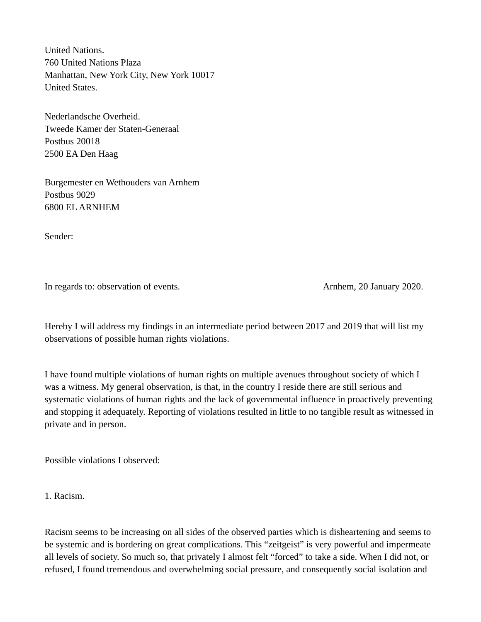United Nations. 760 United Nations Plaza Manhattan, New York City, New York 10017 United States.

Nederlandsche Overheid. Tweede Kamer der Staten-Generaal Postbus 20018 2500 EA Den Haag

Burgemester en Wethouders van Arnhem Postbus 9029 6800 EL ARNHEM

Sender:

In regards to: observation of events. Arnhem, 20 January 2020.

Hereby I will address my findings in an intermediate period between 2017 and 2019 that will list my observations of possible human rights violations.

I have found multiple violations of human rights on multiple avenues throughout society of which I was a witness. My general observation, is that, in the country I reside there are still serious and systematic violations of human rights and the lack of governmental influence in proactively preventing and stopping it adequately. Reporting of violations resulted in little to no tangible result as witnessed in private and in person.

Possible violations I observed:

1. Racism.

Racism seems to be increasing on all sides of the observed parties which is disheartening and seems to be systemic and is bordering on great complications. This "zeitgeist" is very powerful and impermeate all levels of society. So much so, that privately I almost felt "forced" to take a side. When I did not, or refused, I found tremendous and overwhelming social pressure, and consequently social isolation and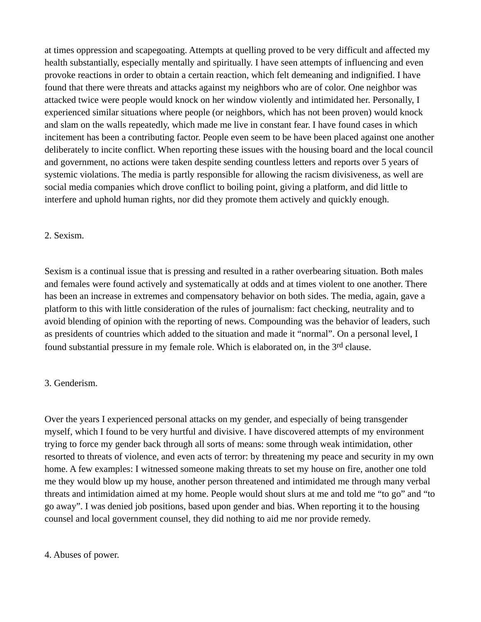at times oppression and scapegoating. Attempts at quelling proved to be very difficult and affected my health substantially, especially mentally and spiritually. I have seen attempts of influencing and even provoke reactions in order to obtain a certain reaction, which felt demeaning and indignified. I have found that there were threats and attacks against my neighbors who are of color. One neighbor was attacked twice were people would knock on her window violently and intimidated her. Personally, I experienced similar situations where people (or neighbors, which has not been proven) would knock and slam on the walls repeatedly, which made me live in constant fear. I have found cases in which incitement has been a contributing factor. People even seem to be have been placed against one another deliberately to incite conflict. When reporting these issues with the housing board and the local council and government, no actions were taken despite sending countless letters and reports over 5 years of systemic violations. The media is partly responsible for allowing the racism divisiveness, as well are social media companies which drove conflict to boiling point, giving a platform, and did little to interfere and uphold human rights, nor did they promote them actively and quickly enough.

#### 2. Sexism.

Sexism is a continual issue that is pressing and resulted in a rather overbearing situation. Both males and females were found actively and systematically at odds and at times violent to one another. There has been an increase in extremes and compensatory behavior on both sides. The media, again, gave a platform to this with little consideration of the rules of journalism: fact checking, neutrality and to avoid blending of opinion with the reporting of news. Compounding was the behavior of leaders, such as presidents of countries which added to the situation and made it "normal". On a personal level, I found substantial pressure in my female role. Which is elaborated on, in the 3<sup>rd</sup> clause.

#### 3. Genderism.

Over the years I experienced personal attacks on my gender, and especially of being transgender myself, which I found to be very hurtful and divisive. I have discovered attempts of my environment trying to force my gender back through all sorts of means: some through weak intimidation, other resorted to threats of violence, and even acts of terror: by threatening my peace and security in my own home. A few examples: I witnessed someone making threats to set my house on fire, another one told me they would blow up my house, another person threatened and intimidated me through many verbal threats and intimidation aimed at my home. People would shout slurs at me and told me "to go" and "to go away". I was denied job positions, based upon gender and bias. When reporting it to the housing counsel and local government counsel, they did nothing to aid me nor provide remedy.

#### 4. Abuses of power.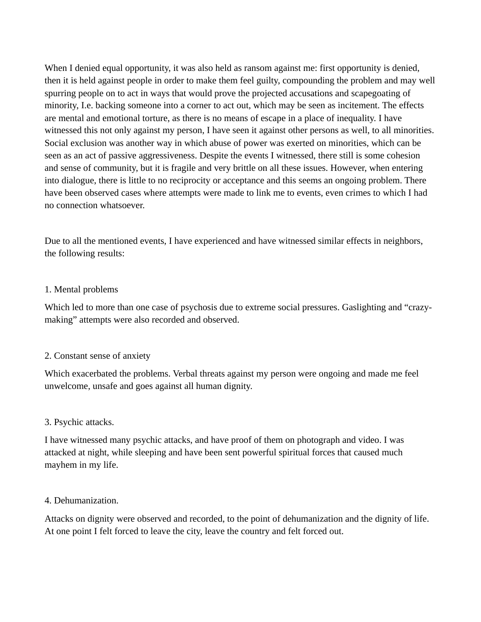When I denied equal opportunity, it was also held as ransom against me: first opportunity is denied, then it is held against people in order to make them feel guilty, compounding the problem and may well spurring people on to act in ways that would prove the projected accusations and scapegoating of minority, I.e. backing someone into a corner to act out, which may be seen as incitement. The effects are mental and emotional torture, as there is no means of escape in a place of inequality. I have witnessed this not only against my person, I have seen it against other persons as well, to all minorities. Social exclusion was another way in which abuse of power was exerted on minorities, which can be seen as an act of passive aggressiveness. Despite the events I witnessed, there still is some cohesion and sense of community, but it is fragile and very brittle on all these issues. However, when entering into dialogue, there is little to no reciprocity or acceptance and this seems an ongoing problem. There have been observed cases where attempts were made to link me to events, even crimes to which I had no connection whatsoever.

Due to all the mentioned events, I have experienced and have witnessed similar effects in neighbors, the following results:

### 1. Mental problems

Which led to more than one case of psychosis due to extreme social pressures. Gaslighting and "crazymaking" attempts were also recorded and observed.

## 2. Constant sense of anxiety

Which exacerbated the problems. Verbal threats against my person were ongoing and made me feel unwelcome, unsafe and goes against all human dignity.

## 3. Psychic attacks.

I have witnessed many psychic attacks, and have proof of them on photograph and video. I was attacked at night, while sleeping and have been sent powerful spiritual forces that caused much mayhem in my life.

#### 4. Dehumanization.

Attacks on dignity were observed and recorded, to the point of dehumanization and the dignity of life. At one point I felt forced to leave the city, leave the country and felt forced out.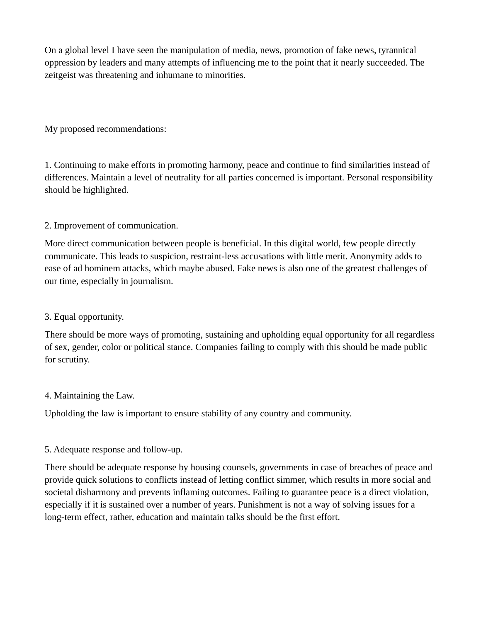On a global level I have seen the manipulation of media, news, promotion of fake news, tyrannical oppression by leaders and many attempts of influencing me to the point that it nearly succeeded. The zeitgeist was threatening and inhumane to minorities.

My proposed recommendations:

1. Continuing to make efforts in promoting harmony, peace and continue to find similarities instead of differences. Maintain a level of neutrality for all parties concerned is important. Personal responsibility should be highlighted.

# 2. Improvement of communication.

More direct communication between people is beneficial. In this digital world, few people directly communicate. This leads to suspicion, restraint-less accusations with little merit. Anonymity adds to ease of ad hominem attacks, which maybe abused. Fake news is also one of the greatest challenges of our time, especially in journalism.

# 3. Equal opportunity.

There should be more ways of promoting, sustaining and upholding equal opportunity for all regardless of sex, gender, color or political stance. Companies failing to comply with this should be made public for scrutiny.

## 4. Maintaining the Law.

Upholding the law is important to ensure stability of any country and community.

# 5. Adequate response and follow-up.

There should be adequate response by housing counsels, governments in case of breaches of peace and provide quick solutions to conflicts instead of letting conflict simmer, which results in more social and societal disharmony and prevents inflaming outcomes. Failing to guarantee peace is a direct violation, especially if it is sustained over a number of years. Punishment is not a way of solving issues for a long-term effect, rather, education and maintain talks should be the first effort.